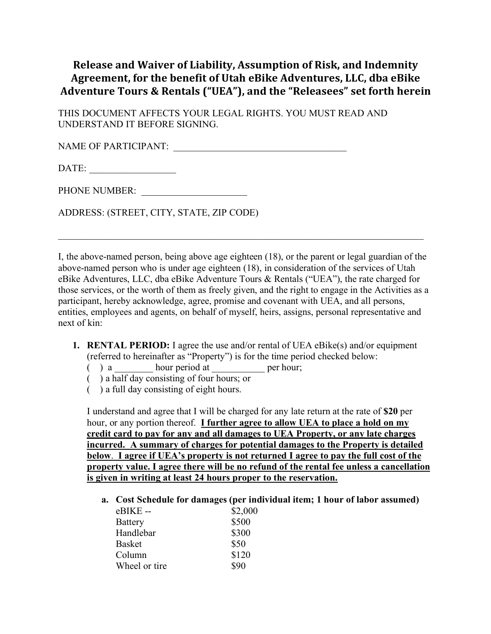## **Release and Waiver of Liability, Assumption of Risk, and Indemnity** Agreement, for the benefit of Utah eBike Adventures, LLC, dba eBike Adventure Tours & Rentals ("UEA"), and the "Releasees" set forth herein

THIS DOCUMENT AFFECTS YOUR LEGAL RIGHTS. YOU MUST READ AND UNDERSTAND IT BEFORE SIGNING.

NAME OF PARTICIPANT:

DATE: \_\_\_\_\_\_\_\_\_\_\_\_\_\_\_\_\_\_

PHONE NUMBER: \_\_\_\_\_\_\_\_\_\_\_\_\_\_\_\_\_\_\_\_\_\_

ADDRESS: (STREET, CITY, STATE, ZIP CODE)

I, the above-named person, being above age eighteen (18), or the parent or legal guardian of the above-named person who is under age eighteen (18), in consideration of the services of Utah eBike Adventures, LLC, dba eBike Adventure Tours & Rentals ("UEA"), the rate charged for those services, or the worth of them as freely given, and the right to engage in the Activities as a participant, hereby acknowledge, agree, promise and covenant with UEA, and all persons, entities, employees and agents, on behalf of myself, heirs, assigns, personal representative and next of kin:

 $\mathcal{L}_\text{max}$  , and the contribution of the contribution of the contribution of the contribution of the contribution of the contribution of the contribution of the contribution of the contribution of the contribution of t

- **1. RENTAL PERIOD:** I agree the use and/or rental of UEA eBike(s) and/or equipment (referred to hereinafter as "Property") is for the time period checked below:
	- $($  ) a \_\_\_\_\_\_\_\_\_ hour period at \_\_\_\_\_\_\_\_\_\_\_\_\_\_\_ per hour;
	- ( ) a half day consisting of four hours; or
	- ( ) a full day consisting of eight hours.

I understand and agree that I will be charged for any late return at the rate of **\$20** per hour, or any portion thereof. **I further agree to allow UEA to place a hold on my credit card to pay for any and all damages to UEA Property, or any late charges incurred. A summary of charges for potential damages to the Property is detailed below**. **I agree if UEA's property is not returned I agree to pay the full cost of the property value. I agree there will be no refund of the rental fee unless a cancellation is given in writing at least 24 hours proper to the reservation.**

**a. Cost Schedule for damages (per individual item; 1 hour of labor assumed)**

| $eBIKE -$      | \$2,000 |
|----------------|---------|
| <b>Battery</b> | \$500   |
| Handlebar      | \$300   |
| <b>Basket</b>  | \$50    |
| Column         | \$120   |
| Wheel or tire  | \$90    |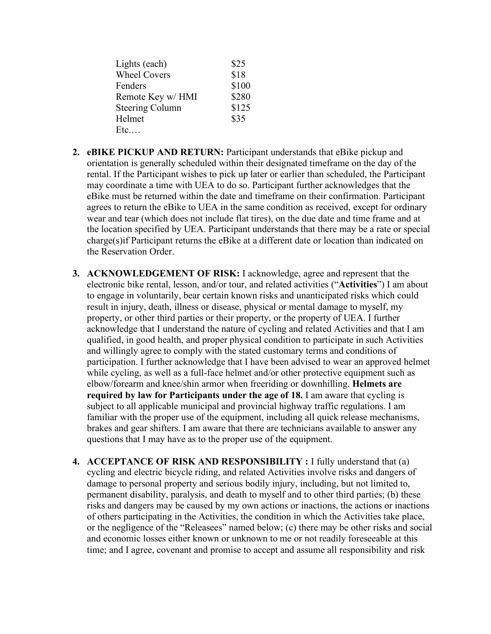| Lights (each)          | \$25  |
|------------------------|-------|
| <b>Wheel Covers</b>    | \$18  |
| Fenders                | \$100 |
| Remote Key w/ HMI      | \$280 |
| <b>Steering Column</b> | \$125 |
| Helmet                 | \$35  |
| Etc                    |       |

- **2. eBIKE PICKUP AND RETURN:** Participant understands that eBike pickup and orientation is generally scheduled within their designated timeframe on the day of the rental. If the Participant wishes to pick up later or earlier than scheduled, the Participant may coordinate a time with UEA to do so. Participant further acknowledges that the eBike must be returned within the date and timeframe on their confirmation. Participant agrees to return the eBike to UEA in the same condition as received, except for ordinary wear and tear (which does not include flat tires), on the due date and time frame and at the location specified by UEA. Participant understands that there may be a rate or special charge(s)if Participant returns the eBike at a different date or location than indicated on the Reservation Order.
- **3. ACKNOWLEDGEMENT OF RISK:** I acknowledge, agree and represent that the electronic bike rental, lesson, and/or tour, and related activities ("**Activities**") I am about to engage in voluntarily, bear certain known risks and unanticipated risks which could result in injury, death, illness or disease, physical or mental damage to myself, my property, or other third parties or their property, or the property of UEA. I further acknowledge that I understand the nature of cycling and related Activities and that I am qualified, in good health, and proper physical condition to participate in such Activities and willingly agree to comply with the stated customary terms and conditions of participation. I further acknowledge that I have been advised to wear an approved helmet while cycling, as well as a full-face helmet and/or other protective equipment such as elbow/forearm and knee/shin armor when freeriding or downhilling. **Helmets are required by law for Participants under the age of 18.** I am aware that cycling is subject to all applicable municipal and provincial highway traffic regulations. I am familiar with the proper use of the equipment, including all quick release mechanisms, brakes and gear shifters. I am aware that there are technicians available to answer any questions that I may have as to the proper use of the equipment.
- **4. ACCEPTANCE OF RISK AND RESPONSIBILITY :** I fully understand that (a) cycling and electric bicycle riding, and related Activities involve risks and dangers of damage to personal property and serious bodily injury, including, but not limited to, permanent disability, paralysis, and death to myself and to other third parties; (b) these risks and dangers may be caused by my own actions or inactions, the actions or inactions of others participating in the Activities, the condition in which the Activities take place, or the negligence of the "Releasees" named below; (c) there may be other risks and social and economic losses either known or unknown to me or not readily foreseeable at this time; and I agree, covenant and promise to accept and assume all responsibility and risk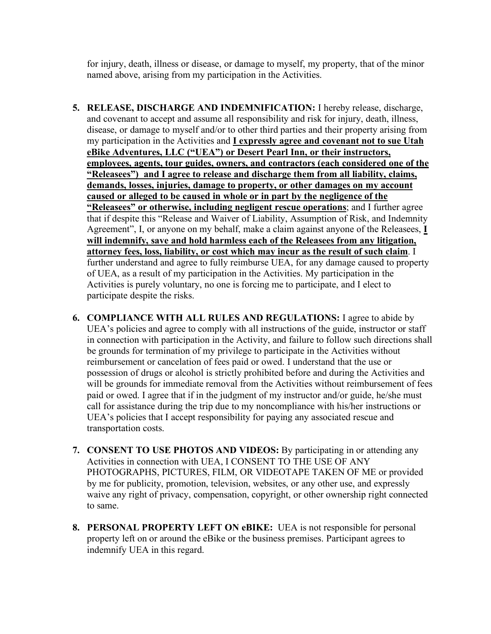for injury, death, illness or disease, or damage to myself, my property, that of the minor named above, arising from my participation in the Activities.

- **5. RELEASE, DISCHARGE AND INDEMNIFICATION:** I hereby release, discharge, and covenant to accept and assume all responsibility and risk for injury, death, illness, disease, or damage to myself and/or to other third parties and their property arising from my participation in the Activities and **I expressly agree and covenant not to sue Utah eBike Adventures, LLC ("UEA") or Desert Pearl Inn, or their instructors, employees, agents, tour guides, owners, and contractors (each considered one of the "Releasees") and I agree to release and discharge them from all liability, claims, demands, losses, injuries, damage to property, or other damages on my account caused or alleged to be caused in whole or in part by the negligence of the "Releasees" or otherwise, including negligent rescue operations**; and I further agree that if despite this "Release and Waiver of Liability, Assumption of Risk, and Indemnity Agreement", I, or anyone on my behalf, make a claim against anyone of the Releasees, **I will indemnify, save and hold harmless each of the Releasees from any litigation, attorney fees, loss, liability, or cost which may incur as the result of such claim**. I further understand and agree to fully reimburse UEA, for any damage caused to property of UEA, as a result of my participation in the Activities. My participation in the Activities is purely voluntary, no one is forcing me to participate, and I elect to participate despite the risks.
- **6. COMPLIANCE WITH ALL RULES AND REGULATIONS:** I agree to abide by UEA's policies and agree to comply with all instructions of the guide, instructor or staff in connection with participation in the Activity, and failure to follow such directions shall be grounds for termination of my privilege to participate in the Activities without reimbursement or cancelation of fees paid or owed. I understand that the use or possession of drugs or alcohol is strictly prohibited before and during the Activities and will be grounds for immediate removal from the Activities without reimbursement of fees paid or owed. I agree that if in the judgment of my instructor and/or guide, he/she must call for assistance during the trip due to my noncompliance with his/her instructions or UEA's policies that I accept responsibility for paying any associated rescue and transportation costs.
- **7. CONSENT TO USE PHOTOS AND VIDEOS:** By participating in or attending any Activities in connection with UEA, I CONSENT TO THE USE OF ANY PHOTOGRAPHS, PICTURES, FILM, OR VIDEOTAPE TAKEN OF ME or provided by me for publicity, promotion, television, websites, or any other use, and expressly waive any right of privacy, compensation, copyright, or other ownership right connected to same.
- **8. PERSONAL PROPERTY LEFT ON eBIKE:** UEA is not responsible for personal property left on or around the eBike or the business premises. Participant agrees to indemnify UEA in this regard.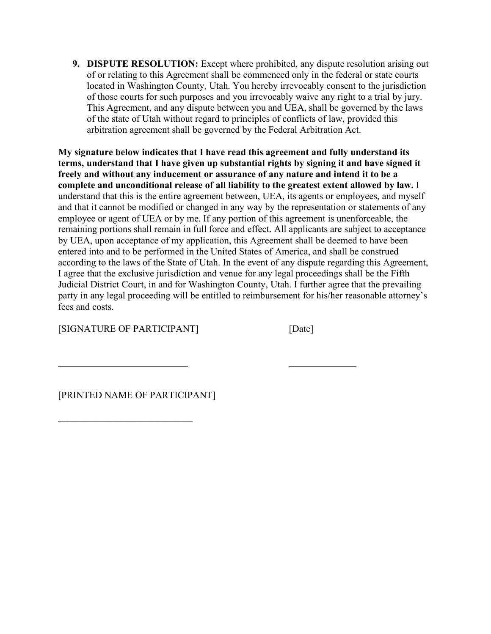**9. DISPUTE RESOLUTION:** Except where prohibited, any dispute resolution arising out of or relating to this Agreement shall be commenced only in the federal or state courts located in Washington County, Utah. You hereby irrevocably consent to the jurisdiction of those courts for such purposes and you irrevocably waive any right to a trial by jury. This Agreement, and any dispute between you and UEA, shall be governed by the laws of the state of Utah without regard to principles of conflicts of law, provided this arbitration agreement shall be governed by the Federal Arbitration Act.

**My signature below indicates that I have read this agreement and fully understand its terms, understand that I have given up substantial rights by signing it and have signed it freely and without any inducement or assurance of any nature and intend it to be a complete and unconditional release of all liability to the greatest extent allowed by law.** I understand that this is the entire agreement between, UEA, its agents or employees, and myself and that it cannot be modified or changed in any way by the representation or statements of any employee or agent of UEA or by me. If any portion of this agreement is unenforceable, the remaining portions shall remain in full force and effect. All applicants are subject to acceptance by UEA, upon acceptance of my application, this Agreement shall be deemed to have been entered into and to be performed in the United States of America, and shall be construed according to the laws of the State of Utah. In the event of any dispute regarding this Agreement, I agree that the exclusive jurisdiction and venue for any legal proceedings shall be the Fifth Judicial District Court, in and for Washington County, Utah. I further agree that the prevailing party in any legal proceeding will be entitled to reimbursement for his/her reasonable attorney's fees and costs.

 $\mathcal{L}_\text{max}$  , and the contract of the contract of the contract of the contract of the contract of the contract of the contract of the contract of the contract of the contract of the contract of the contract of the contr

[SIGNATURE OF PARTICIPANT] [Date]

[PRINTED NAME OF PARTICIPANT]

**\_\_\_\_\_\_\_\_\_\_\_\_\_\_\_\_\_\_\_\_\_\_\_\_\_\_\_\_**